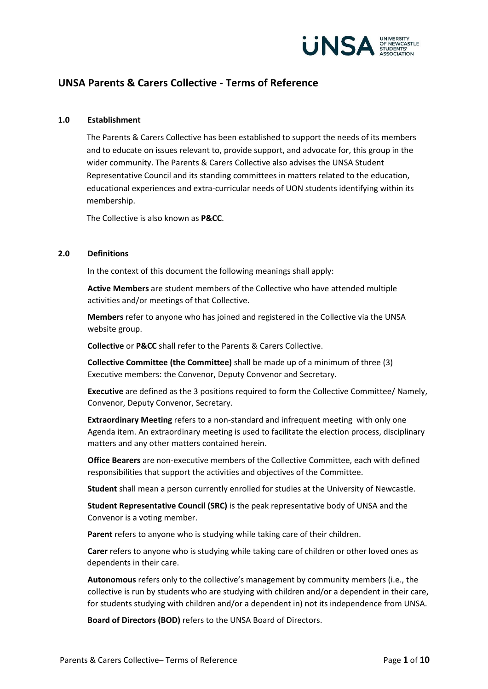

# **UNSA Parents & Carers Collective - Terms of Reference**

#### **1.0 Establishment**

The Parents & Carers Collective has been established to support the needs of its members and to educate on issues relevant to, provide support, and advocate for, this group in the wider community. The Parents & Carers Collective also advises the UNSA Student Representative Council and its standing committees in matters related to the education, educational experiences and extra-curricular needs of UON students identifying within its membership.

The Collective is also known as **P&CC**.

#### **2.0 Definitions**

In the context of this document the following meanings shall apply:

**Active Members** are student members of the Collective who have attended multiple activities and/or meetings of that Collective.

**Members** refer to anyone who has joined and registered in the Collective via the UNSA website group.

**Collective** or **P&CC** shall refer to the Parents & Carers Collective.

**Collective Committee (the Committee)** shall be made up of a minimum of three (3) Executive members: the Convenor, Deputy Convenor and Secretary.

**Executive** are defined as the 3 positions required to form the Collective Committee/ Namely, Convenor, Deputy Convenor, Secretary.

**Extraordinary Meeting** refers to a non-standard and infrequent meeting with only one Agenda item. An extraordinary meeting is used to facilitate the election process, disciplinary matters and any other matters contained herein.

**Office Bearers** are non-executive members of the Collective Committee, each with defined responsibilities that support the activities and objectives of the Committee.

**Student** shall mean a person currently enrolled for studies at the University of Newcastle.

**Student Representative Council (SRC)** is the peak representative body of UNSA and the Convenor is a voting member.

**Parent** refers to anyone who is studying while taking care of their children.

**Carer** refers to anyone who is studying while taking care of children or other loved ones as dependents in their care.

**Autonomous** refers only to the collective's management by community members (i.e., the collective is run by students who are studying with children and/or a dependent in their care, for students studying with children and/or a dependent in) not its independence from UNSA.

**Board of Directors (BOD)** refers to the UNSA Board of Directors.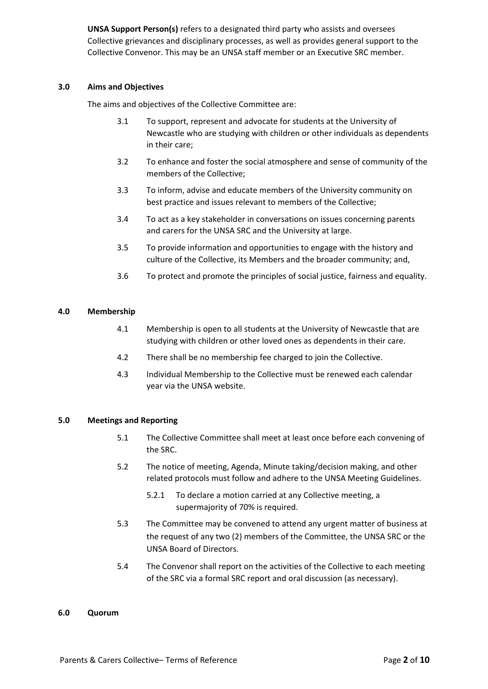**UNSA Support Person(s)** refers to a designated third party who assists and oversees Collective grievances and disciplinary processes, as well as provides general support to the Collective Convenor. This may be an UNSA staff member or an Executive SRC member.

### **3.0 Aims and Objectives**

The aims and objectives of the Collective Committee are:

- 3.1 To support, represent and advocate for students at the University of Newcastle who are studying with children or other individuals as dependents in their care;
- 3.2 To enhance and foster the social atmosphere and sense of community of the members of the Collective;
- 3.3 To inform, advise and educate members of the University community on best practice and issues relevant to members of the Collective;
- 3.4 To act as a key stakeholder in conversations on issues concerning parents and carers for the UNSA SRC and the University at large.
- 3.5 To provide information and opportunities to engage with the history and culture of the Collective, its Members and the broader community; and,
- 3.6 To protect and promote the principles of social justice, fairness and equality.

### **4.0 Membership**

- 4.1 Membership is open to all students at the University of Newcastle that are studying with children or other loved ones as dependents in their care.
- 4.2 There shall be no membership fee charged to join the Collective.
- 4.3 Individual Membership to the Collective must be renewed each calendar year via the UNSA website.

### **5.0 Meetings and Reporting**

- 5.1 The Collective Committee shall meet at least once before each convening of the SRC.
- 5.2 The notice of meeting, Agenda, Minute taking/decision making, and other related protocols must follow and adhere to the UNSA Meeting Guidelines.
	- 5.2.1 To declare a motion carried at any Collective meeting, a supermajority of 70% is required.
- 5.3 The Committee may be convened to attend any urgent matter of business at the request of any two (2) members of the Committee, the UNSA SRC or the UNSA Board of Directors.
- 5.4 The Convenor shall report on the activities of the Collective to each meeting of the SRC via a formal SRC report and oral discussion (as necessary).

#### **6.0 Quorum**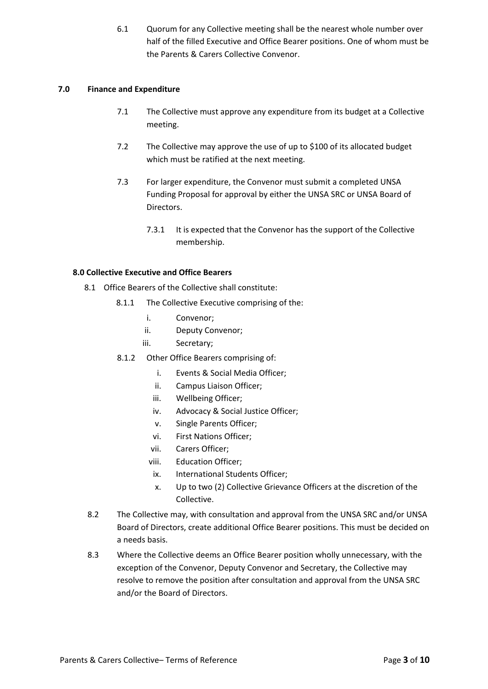6.1 Quorum for any Collective meeting shall be the nearest whole number over half of the filled Executive and Office Bearer positions. One of whom must be the Parents & Carers Collective Convenor.

### **7.0 Finance and Expenditure**

- 7.1 The Collective must approve any expenditure from its budget at a Collective meeting.
- 7.2 The Collective may approve the use of up to \$100 of its allocated budget which must be ratified at the next meeting.
- 7.3 For larger expenditure, the Convenor must submit a completed UNSA Funding Proposal for approval by either the UNSA SRC or UNSA Board of Directors.
	- 7.3.1 It is expected that the Convenor has the support of the Collective membership.

### **8.0 Collective Executive and Office Bearers**

- 8.1 Office Bearers of the Collective shall constitute:
	- 8.1.1 The Collective Executive comprising of the:
		- i. Convenor;
		- ii. Deputy Convenor;
		- iii. Secretary;
	- 8.1.2 Other Office Bearers comprising of:
		- i. Events & Social Media Officer;
		- ii. Campus Liaison Officer;
		- iii. Wellbeing Officer;
		- iv. Advocacy & Social Justice Officer;
		- v. Single Parents Officer;
		- vi. First Nations Officer;
		- vii. Carers Officer;
		- viii. Education Officer;
		- ix. International Students Officer;
		- x. Up to two (2) Collective Grievance Officers at the discretion of the Collective.
- 8.2 The Collective may, with consultation and approval from the UNSA SRC and/or UNSA Board of Directors, create additional Office Bearer positions. This must be decided on a needs basis.
- 8.3 Where the Collective deems an Office Bearer position wholly unnecessary, with the exception of the Convenor, Deputy Convenor and Secretary, the Collective may resolve to remove the position after consultation and approval from the UNSA SRC and/or the Board of Directors.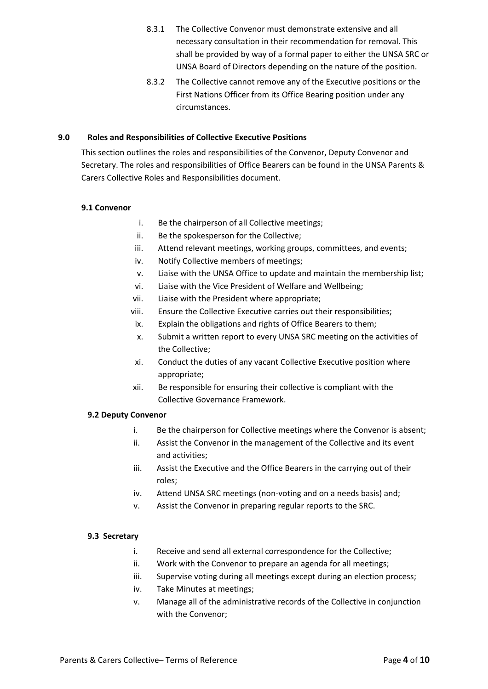- 8.3.1 The Collective Convenor must demonstrate extensive and all necessary consultation in their recommendation for removal. This shall be provided by way of a formal paper to either the UNSA SRC or UNSA Board of Directors depending on the nature of the position.
- 8.3.2 The Collective cannot remove any of the Executive positions or the First Nations Officer from its Office Bearing position under any circumstances.

### **9.0 Roles and Responsibilities of Collective Executive Positions**

This section outlines the roles and responsibilities of the Convenor, Deputy Convenor and Secretary. The roles and responsibilities of Office Bearers can be found in the UNSA Parents & Carers Collective Roles and Responsibilities document.

### **9.1 Convenor**

- i. Be the chairperson of all Collective meetings;
- ii. Be the spokesperson for the Collective;
- iii. Attend relevant meetings, working groups, committees, and events;
- iv. Notify Collective members of meetings;
- v. Liaise with the UNSA Office to update and maintain the membership list;
- vi. Liaise with the Vice President of Welfare and Wellbeing;
- vii. Liaise with the President where appropriate;
- viii. Ensure the Collective Executive carries out their responsibilities;
- ix. Explain the obligations and rights of Office Bearers to them;
- x. Submit a written report to every UNSA SRC meeting on the activities of the Collective;
- xi. Conduct the duties of any vacant Collective Executive position where appropriate;
- xii. Be responsible for ensuring their collective is compliant with the Collective Governance Framework.

### **9.2 Deputy Convenor**

- i. Be the chairperson for Collective meetings where the Convenor is absent;
- ii. Assist the Convenor in the management of the Collective and its event and activities;
- iii. Assist the Executive and the Office Bearers in the carrying out of their roles;
- iv. Attend UNSA SRC meetings (non-voting and on a needs basis) and;
- v. Assist the Convenor in preparing regular reports to the SRC.

### **9.3 Secretary**

- i. Receive and send all external correspondence for the Collective;
- ii. Work with the Convenor to prepare an agenda for all meetings;
- iii. Supervise voting during all meetings except during an election process;
- iv. Take Minutes at meetings;
- v. Manage all of the administrative records of the Collective in conjunction with the Convenor;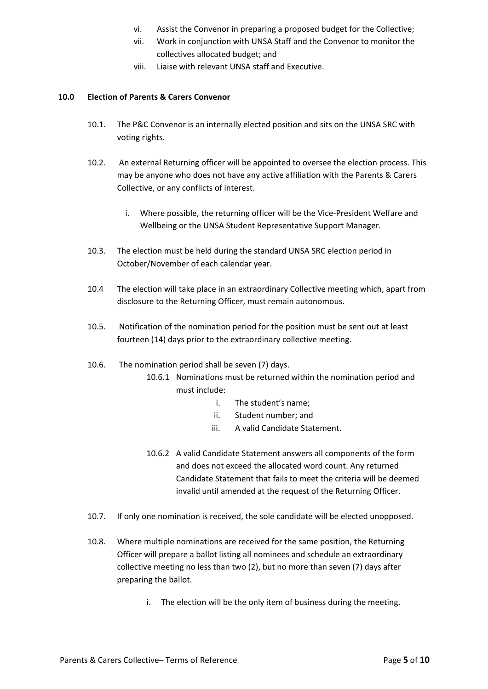- vi. Assist the Convenor in preparing a proposed budget for the Collective;
- vii. Work in conjunction with UNSA Staff and the Convenor to monitor the collectives allocated budget; and
- viii. Liaise with relevant UNSA staff and Executive.

### **10.0 Election of Parents & Carers Convenor**

- 10.1. The P&C Convenor is an internally elected position and sits on the UNSA SRC with voting rights.
- 10.2. An external Returning officer will be appointed to oversee the election process. This may be anyone who does not have any active affiliation with the Parents & Carers Collective, or any conflicts of interest.
	- i. Where possible, the returning officer will be the Vice-President Welfare and Wellbeing or the UNSA Student Representative Support Manager.
- 10.3. The election must be held during the standard UNSA SRC election period in October/November of each calendar year.
- 10.4 The election will take place in an extraordinary Collective meeting which, apart from disclosure to the Returning Officer, must remain autonomous.
- 10.5. Notification of the nomination period for the position must be sent out at least fourteen (14) days prior to the extraordinary collective meeting.
- 10.6. The nomination period shall be seven (7) days.
	- 10.6.1 Nominations must be returned within the nomination period and must include:
		- i. The student's name;
		- ii. Student number; and
		- iii. A valid Candidate Statement.
	- 10.6.2 A valid Candidate Statement answers all components of the form and does not exceed the allocated word count. Any returned Candidate Statement that fails to meet the criteria will be deemed invalid until amended at the request of the Returning Officer.
- 10.7. If only one nomination is received, the sole candidate will be elected unopposed.
- 10.8. Where multiple nominations are received for the same position, the Returning Officer will prepare a ballot listing all nominees and schedule an extraordinary collective meeting no less than two (2), but no more than seven (7) days after preparing the ballot.
	- i. The election will be the only item of business during the meeting.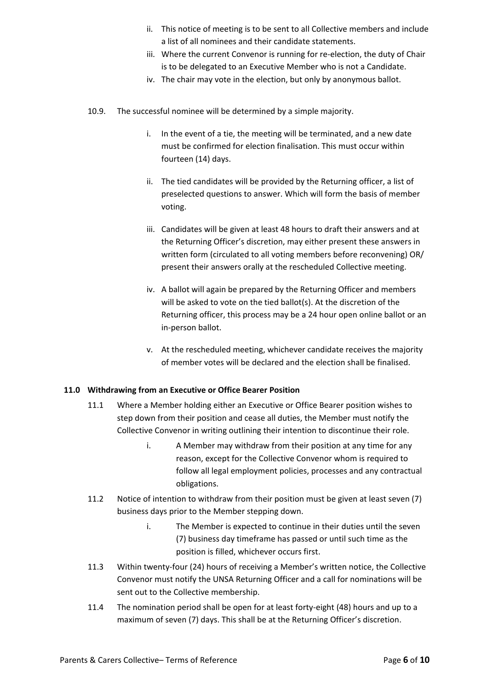- ii. This notice of meeting is to be sent to all Collective members and include a list of all nominees and their candidate statements.
- iii. Where the current Convenor is running for re-election, the duty of Chair is to be delegated to an Executive Member who is not a Candidate.
- iv. The chair may vote in the election, but only by anonymous ballot.
- 10.9. The successful nominee will be determined by a simple majority.
	- i. In the event of a tie, the meeting will be terminated, and a new date must be confirmed for election finalisation. This must occur within fourteen (14) days.
	- ii. The tied candidates will be provided by the Returning officer, a list of preselected questions to answer. Which will form the basis of member voting.
	- iii. Candidates will be given at least 48 hours to draft their answers and at the Returning Officer's discretion, may either present these answers in written form (circulated to all voting members before reconvening) OR/ present their answers orally at the rescheduled Collective meeting.
	- iv. A ballot will again be prepared by the Returning Officer and members will be asked to vote on the tied ballot(s). At the discretion of the Returning officer, this process may be a 24 hour open online ballot or an in-person ballot.
	- v. At the rescheduled meeting, whichever candidate receives the majority of member votes will be declared and the election shall be finalised.

### **11.0 Withdrawing from an Executive or Office Bearer Position**

- 11.1 Where a Member holding either an Executive or Office Bearer position wishes to step down from their position and cease all duties, the Member must notify the Collective Convenor in writing outlining their intention to discontinue their role.
	- i. A Member may withdraw from their position at any time for any reason, except for the Collective Convenor whom is required to follow all legal employment policies, processes and any contractual obligations.
- 11.2 Notice of intention to withdraw from their position must be given at least seven (7) business days prior to the Member stepping down.
	- i. The Member is expected to continue in their duties until the seven (7) business day timeframe has passed or until such time as the position is filled, whichever occurs first.
- 11.3 Within twenty-four (24) hours of receiving a Member's written notice, the Collective Convenor must notify the UNSA Returning Officer and a call for nominations will be sent out to the Collective membership.
- 11.4 The nomination period shall be open for at least forty-eight (48) hours and up to a maximum of seven (7) days. This shall be at the Returning Officer's discretion.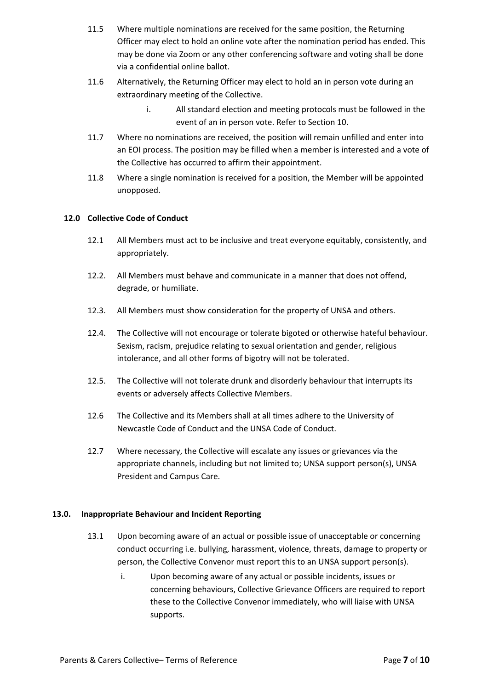- 11.5 Where multiple nominations are received for the same position, the Returning Officer may elect to hold an online vote after the nomination period has ended. This may be done via Zoom or any other conferencing software and voting shall be done via a confidential online ballot.
- 11.6 Alternatively, the Returning Officer may elect to hold an in person vote during an extraordinary meeting of the Collective.
	- i. All standard election and meeting protocols must be followed in the event of an in person vote. Refer to Section 10.
- 11.7 Where no nominations are received, the position will remain unfilled and enter into an EOI process. The position may be filled when a member is interested and a vote of the Collective has occurred to affirm their appointment.
- 11.8 Where a single nomination is received for a position, the Member will be appointed unopposed.

### **12.0 Collective Code of Conduct**

- 12.1 All Members must act to be inclusive and treat everyone equitably, consistently, and appropriately.
- 12.2. All Members must behave and communicate in a manner that does not offend, degrade, or humiliate.
- 12.3. All Members must show consideration for the property of UNSA and others.
- 12.4. The Collective will not encourage or tolerate bigoted or otherwise hateful behaviour. Sexism, racism, prejudice relating to sexual orientation and gender, religious intolerance, and all other forms of bigotry will not be tolerated.
- 12.5. The Collective will not tolerate drunk and disorderly behaviour that interrupts its events or adversely affects Collective Members.
- 12.6 The Collective and its Members shall at all times adhere to the University of Newcastle Code of Conduct and the UNSA Code of Conduct.
- 12.7 Where necessary, the Collective will escalate any issues or grievances via the appropriate channels, including but not limited to; UNSA support person(s), UNSA President and Campus Care.

### **13.0. Inappropriate Behaviour and Incident Reporting**

- 13.1 Upon becoming aware of an actual or possible issue of unacceptable or concerning conduct occurring i.e. bullying, harassment, violence, threats, damage to property or person, the Collective Convenor must report this to an UNSA support person(s).
	- i. Upon becoming aware of any actual or possible incidents, issues or concerning behaviours, Collective Grievance Officers are required to report these to the Collective Convenor immediately, who will liaise with UNSA supports.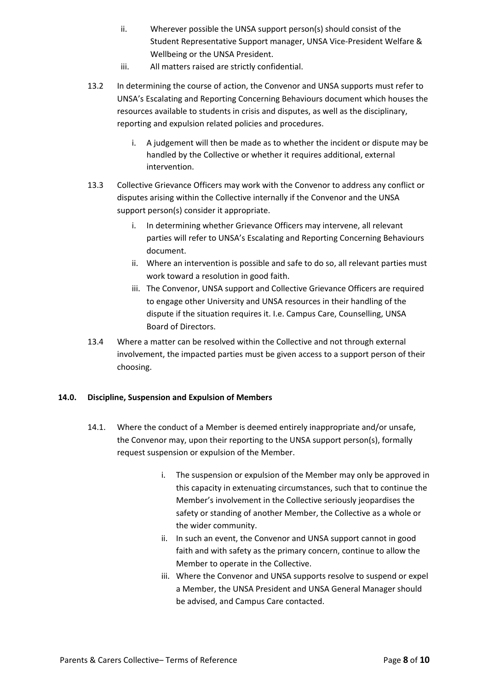- ii. Wherever possible the UNSA support person(s) should consist of the Student Representative Support manager, UNSA Vice-President Welfare & Wellbeing or the UNSA President.
- iii. All matters raised are strictly confidential.
- 13.2 In determining the course of action, the Convenor and UNSA supports must refer to UNSA's Escalating and Reporting Concerning Behaviours document which houses the resources available to students in crisis and disputes, as well as the disciplinary, reporting and expulsion related policies and procedures.
	- i. A judgement will then be made as to whether the incident or dispute may be handled by the Collective or whether it requires additional, external intervention.
- 13.3 Collective Grievance Officers may work with the Convenor to address any conflict or disputes arising within the Collective internally if the Convenor and the UNSA support person(s) consider it appropriate.
	- i. In determining whether Grievance Officers may intervene, all relevant parties will refer to UNSA's Escalating and Reporting Concerning Behaviours document.
	- ii. Where an intervention is possible and safe to do so, all relevant parties must work toward a resolution in good faith.
	- iii. The Convenor, UNSA support and Collective Grievance Officers are required to engage other University and UNSA resources in their handling of the dispute if the situation requires it. I.e. Campus Care, Counselling, UNSA Board of Directors.
- 13.4 Where a matter can be resolved within the Collective and not through external involvement, the impacted parties must be given access to a support person of their choosing.

# **14.0. Discipline, Suspension and Expulsion of Members**

- 14.1. Where the conduct of a Member is deemed entirely inappropriate and/or unsafe, the Convenor may, upon their reporting to the UNSA support person(s), formally request suspension or expulsion of the Member.
	- i. The suspension or expulsion of the Member may only be approved in this capacity in extenuating circumstances, such that to continue the Member's involvement in the Collective seriously jeopardises the safety or standing of another Member, the Collective as a whole or the wider community.
	- ii. In such an event, the Convenor and UNSA support cannot in good faith and with safety as the primary concern, continue to allow the Member to operate in the Collective.
	- iii. Where the Convenor and UNSA supports resolve to suspend or expel a Member, the UNSA President and UNSA General Manager should be advised, and Campus Care contacted.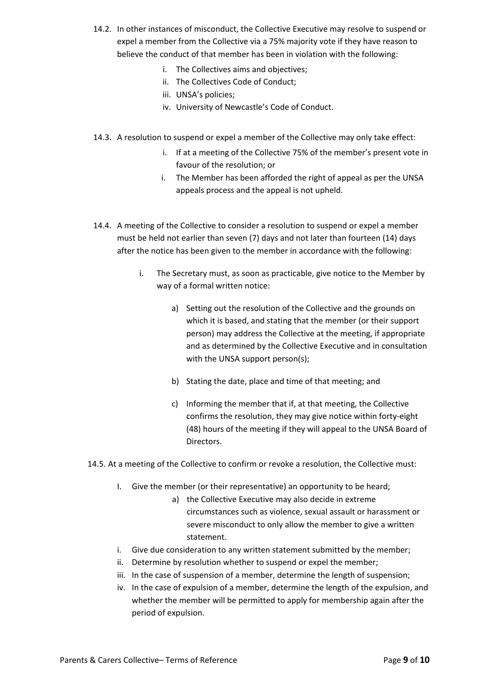- 14.2. In other instances of misconduct, the Collective Executive may resolve to suspend or expel a member from the Collective via a 75% majority vote if they have reason to believe the conduct of that member has been in violation with the following:
	- i. The Collectives aims and objectives;
	- ii. The Collectives Code of Conduct;
	- iii. UNSA's policies;
	- iv. University of Newcastle's Code of Conduct.
- 14.3. A resolution to suspend or expel a member of the Collective may only take effect:
	- i. If at a meeting of the Collective 75% of the member's present vote in favour of the resolution; or
	- i. The Member has been afforded the right of appeal as per the UNSA appeals process and the appeal is not upheld.
- 14.4. A meeting of the Collective to consider a resolution to suspend or expel a member must be held not earlier than seven (7) days and not later than fourteen (14) days after the notice has been given to the member in accordance with the following:
	- i. The Secretary must, as soon as practicable, give notice to the Member by way of a formal written notice:
		- a) Setting out the resolution of the Collective and the grounds on which it is based, and stating that the member (or their support person) may address the Collective at the meeting, if appropriate and as determined by the Collective Executive and in consultation with the UNSA support person(s);
		- b) Stating the date, place and time of that meeting; and
		- c) Informing the member that if, at that meeting, the Collective confirms the resolution, they may give notice within forty-eight (48) hours of the meeting if they will appeal to the UNSA Board of Directors.

14.5. At a meeting of the Collective to confirm or revoke a resolution, the Collective must:

- I. Give the member (or their representative) an opportunity to be heard;
	- a) the Collective Executive may also decide in extreme circumstances such as violence, sexual assault or harassment or severe misconduct to only allow the member to give a written statement.
- i. Give due consideration to any written statement submitted by the member;
- ii. Determine by resolution whether to suspend or expel the member;
- iii. In the case of suspension of a member, determine the length of suspension;
- iv. In the case of expulsion of a member, determine the length of the expulsion, and whether the member will be permitted to apply for membership again after the period of expulsion.